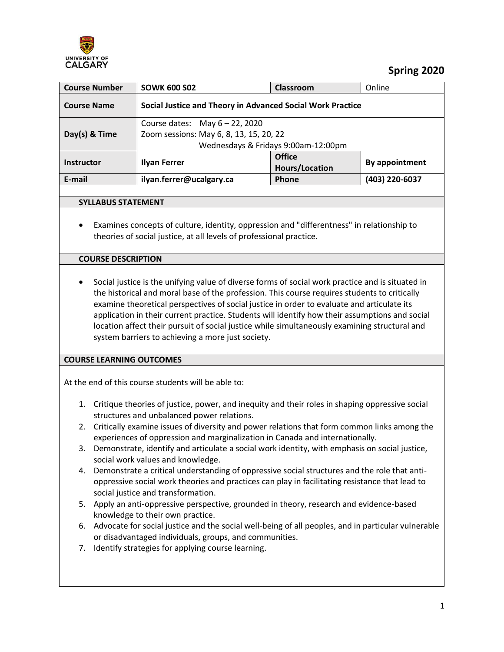

 **Spring 2020**

| <b>Course Number</b> | <b>SOWK 600 S02</b>                                                          | Classroom                           | Online         |
|----------------------|------------------------------------------------------------------------------|-------------------------------------|----------------|
| <b>Course Name</b>   | Social Justice and Theory in Advanced Social Work Practice                   |                                     |                |
| Day(s) & Time        | Course dates: May $6 - 22$ , 2020<br>Zoom sessions: May 6, 8, 13, 15, 20, 22 | Wednesdays & Fridays 9:00am-12:00pm |                |
| <b>Instructor</b>    | <b>Ilyan Ferrer</b>                                                          | <b>Office</b><br>Hours/Location     | By appointment |
| E-mail               | ilyan.ferrer@ucalgary.ca                                                     | <b>Phone</b>                        | (403) 220-6037 |
|                      |                                                                              |                                     |                |

### **SYLLABUS STATEMENT**

• Examines concepts of culture, identity, oppression and "differentness" in relationship to theories of social justice, at all levels of professional practice.

## **COURSE DESCRIPTION**

• Social justice is the unifying value of diverse forms of social work practice and is situated in the historical and moral base of the profession. This course requires students to critically examine theoretical perspectives of social justice in order to evaluate and articulate its application in their current practice. Students will identify how their assumptions and social location affect their pursuit of social justice while simultaneously examining structural and system barriers to achieving a more just society.

## **COURSE LEARNING OUTCOMES**

At the end of this course students will be able to:

- 1. Critique theories of justice, power, and inequity and their roles in shaping oppressive social structures and unbalanced power relations.
- 2. Critically examine issues of diversity and power relations that form common links among the experiences of oppression and marginalization in Canada and internationally.
- 3. Demonstrate, identify and articulate a social work identity, with emphasis on social justice, social work values and knowledge.
- 4. Demonstrate a critical understanding of oppressive social structures and the role that antioppressive social work theories and practices can play in facilitating resistance that lead to social justice and transformation.
- 5. Apply an anti-oppressive perspective, grounded in theory, research and evidence-based knowledge to their own practice.
- 6. Advocate for social justice and the social well-being of all peoples, and in particular vulnerable or disadvantaged individuals, groups, and communities.
- 7. Identify strategies for applying course learning.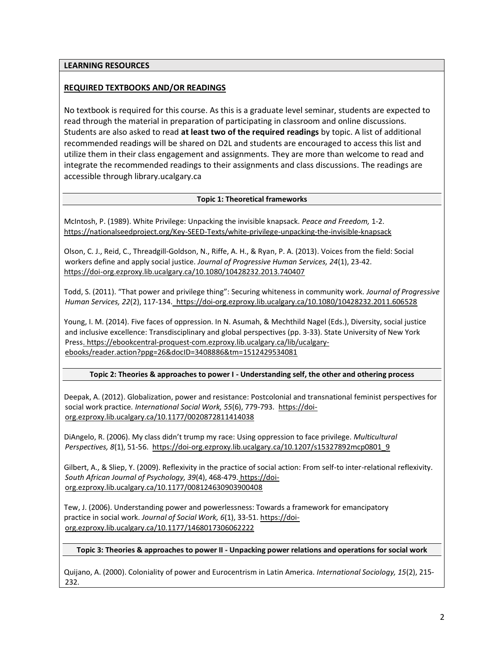### **LEARNING RESOURCES**

## **REQUIRED TEXTBOOKS AND/OR READINGS**

No textbook is required for this course. As this is a graduate level seminar, students are expected to read through the material in preparation of participating in classroom and online discussions. Students are also asked to read **at least two of the required readings** by topic. A list of additional recommended readings will be shared on D2L and students are encouraged to access this list and utilize them in their class engagement and assignments. They are more than welcome to read and integrate the recommended readings to their assignments and class discussions. The readings are accessible through library.ucalgary.ca

#### **Topic 1: Theoretical frameworks**

McIntosh, P. (1989). White Privilege: Unpacking the invisible knapsack. *Peace and Freedom,* 1-2. <https://nationalseedproject.org/Key-SEED-Texts/white-privilege-unpacking-the-invisible-knapsack>

Olson, C. J., Reid, C., Threadgill-Goldson, N., Riffe, A. H., & Ryan, P. A. (2013). Voices from the field: Social workers define and apply social justice. *Journal of Progressive Human Services, 24*(1), 23-42. <https://doi-org.ezproxy.lib.ucalgary.ca/10.1080/10428232.2013.740407>

Todd, S. (2011). "That power and privilege thing": Securing whiteness in community work. *Journal of Progressive Human Services, 22*(2), 117-134.<https://doi-org.ezproxy.lib.ucalgary.ca/10.1080/10428232.2011.606528>

Young, I. M. (2014). Five faces of oppression. In N. Asumah, & Mechthild Nagel (Eds.), Diversity, social justice and inclusive excellence: Transdisciplinary and global perspectives (pp. 3-33). State University of New York Press. https://ebookcentral-proquest-com.ezproxy.lib.ucalgary.ca/lib/ucalgaryebooks/reader.action?ppg=26&docID=3408886&tm=1512429534081

**Topic 2: Theories & approaches to power I - Understanding self, the other and othering process**

Deepak, A. (2012). Globalization, power and resistance: Postcolonial and transnational feminist perspectives for social work practice. International Social Work, 55(6), 779-793. [https://doi](https://doi-org.ezproxy.lib.ucalgary.ca/10.1177/0020872811414038)[org.ezproxy.lib.ucalgary.ca/10.1177/0020872811414038](https://doi-org.ezproxy.lib.ucalgary.ca/10.1177/0020872811414038)

DiAngelo, R. (2006). My class didn't trump my race: Using oppression to face privilege. *Multicultural Perspectives, 8*(1), 51-56. [https://doi-org.ezproxy.lib.ucalgary.ca/10.1207/s15327892mcp0801\\_9](https://doi-org.ezproxy.lib.ucalgary.ca/10.1207/s15327892mcp0801_9)

Gilbert, A., & Sliep, Y. (2009). Reflexivity in the practice of social action: From self-to inter-relational reflexivity. *South African Journal of Psychology, 39*(4), 468-479. [https://doi](https://doi-org.ezproxy.lib.ucalgary.ca/10.1177/008124630903900408)[org.ezproxy.lib.ucalgary.ca/10.1177/008124630903900408](https://doi-org.ezproxy.lib.ucalgary.ca/10.1177/008124630903900408)

Tew, J. (2006). Understanding power and powerlessness: Towards a framework for emancipatory practice in social work. *Journal of Social Work, 6*(1), 33-51[. https://doi](https://doi-org.ezproxy.lib.ucalgary.ca/10.1177/1468017306062222)[org.ezproxy.lib.ucalgary.ca/10.1177/1468017306062222](https://doi-org.ezproxy.lib.ucalgary.ca/10.1177/1468017306062222)

### **Topic 3: Theories & approaches to power II - Unpacking power relations and operations for social work**

Quijano, A. (2000). Coloniality of power and Eurocentrism in Latin America. *International Sociology, 15*(2), 215- 232.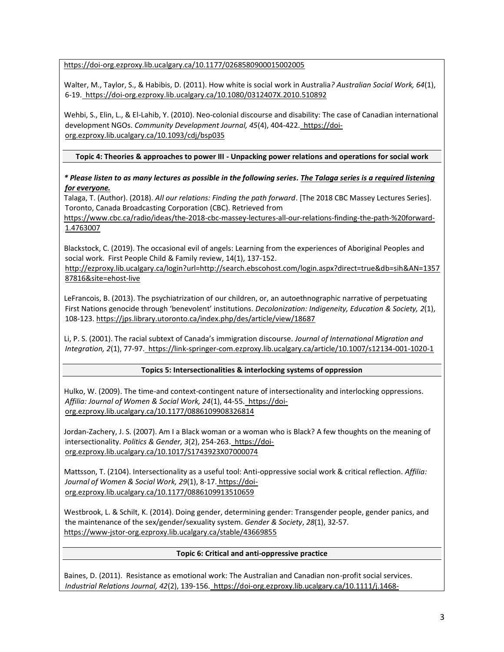<https://doi-org.ezproxy.lib.ucalgary.ca/10.1177/0268580900015002005>

Walter, M., Taylor, S., & Habibis, D. (2011). How white is social work in Australia*? Australian Social Work, 64*(1), 6-19. <https://doi-org.ezproxy.lib.ucalgary.ca/10.1080/0312407X.2010.510892>

Wehbi, S., Elin, L., & El-Lahib, Y. (2010). Neo-colonial discourse and disability: The case of Canadian international development NGOs. *Community Development Journal, 45*(4), 404-422. [https://doi](https://doi-org.ezproxy.lib.ucalgary.ca/10.1093/cdj/bsp035)[org.ezproxy.lib.ucalgary.ca/10.1093/cdj/bsp035](https://doi-org.ezproxy.lib.ucalgary.ca/10.1093/cdj/bsp035)

**Topic 4: Theories & approaches to power III - Unpacking power relations and operations for social work**

*\* Please listen to as many lectures as possible in the following series. The Talaga series is a required listening for everyone.*

Talaga, T. (Author). (2018). *All our relations: Finding the path forward*. [The 2018 CBC Massey Lectures Series]. Toronto, Canada Broadcasting Corporation (CBC). Retrieved from

[https://www.cbc.ca/radio/ideas/the-2018-cbc-massey-lectures-all-our-relations-finding-the-path-%20forward-](https://www.cbc.ca/radio/ideas/the-2018-cbc-massey-lectures-all-our-relations-finding-the-path-%20forward-1.4763007)[1.4763007](https://www.cbc.ca/radio/ideas/the-2018-cbc-massey-lectures-all-our-relations-finding-the-path-%20forward-1.4763007)

Blackstock, C. (2019). The occasional evil of angels: Learning from the experiences of Aboriginal Peoples and social work. First People Child & Family review, 14(1), 137-152.

[http://ezproxy.lib.ucalgary.ca/login?url=http://search.ebscohost.com/login.aspx?direct=true&db=sih&AN=1357](http://ezproxy.lib.ucalgary.ca/login?url=http://search.ebscohost.com/login.aspx?direct=true&db=sih&AN=135787816&site=ehost-live) [87816&site=ehost-live](http://ezproxy.lib.ucalgary.ca/login?url=http://search.ebscohost.com/login.aspx?direct=true&db=sih&AN=135787816&site=ehost-live)

LeFrancois, B. (2013). The psychiatrization of our children, or, an autoethnographic narrative of perpetuating First Nations genocide through 'benevolent' institutions. *Decolonization: Indigeneity, Education & Society, 2*(1), 108-123.<https://jps.library.utoronto.ca/index.php/des/article/view/18687>

Li, P. S. (2001). The racial subtext of Canada's immigration discourse. *Journal of International Migration and Integration, 2*(1), 77-97.<https://link-springer-com.ezproxy.lib.ucalgary.ca/article/10.1007/s12134-001-1020-1>

### **Topics 5: Intersectionalities & interlocking systems of oppression**

Hulko, W. (2009). The time-and context-contingent nature of intersectionality and interlocking oppressions. *Affilia: Journal of Women & Social Work, 24*(1), 44-55. [https://doi](https://doi-org.ezproxy.lib.ucalgary.ca/10.1177/0886109908326814)[org.ezproxy.lib.ucalgary.ca/10.1177/0886109908326814](https://doi-org.ezproxy.lib.ucalgary.ca/10.1177/0886109908326814)

Jordan-Zachery, J. S. (2007). Am I a Black woman or a woman who is Black? A few thoughts on the meaning of intersectionality. *Politics & Gender, 3*(2), 254-263. [https://doi](https://doi-org.ezproxy.lib.ucalgary.ca/10.1017/S1743923X07000074)[org.ezproxy.lib.ucalgary.ca/10.1017/S1743923X07000074](https://doi-org.ezproxy.lib.ucalgary.ca/10.1017/S1743923X07000074)

Mattsson, T. (2104). Intersectionality as a useful tool: Anti-oppressive social work & critical reflection. *Affilia: Journal of Women & Social Work, 29*(1), 8-17. [https://doi](https://doi-org.ezproxy.lib.ucalgary.ca/10.1177/0886109913510659)[org.ezproxy.lib.ucalgary.ca/10.1177/0886109913510659](https://doi-org.ezproxy.lib.ucalgary.ca/10.1177/0886109913510659)

Westbrook, L. & Schilt, K. (2014). Doing gender, determining gender: Transgender people, gender panics, and the maintenance of the sex/gender/sexuality system. *Gender & Society*, *28*(1), 32-57. <https://www-jstor-org.ezproxy.lib.ucalgary.ca/stable/43669855>

### **Topic 6: Critical and anti-oppressive practice**

Baines, D. (2011). Resistance as emotional work: The Australian and Canadian non-profit social services. *Industrial Relations Journal, 42*(2), 139-156. [https://doi-org.ezproxy.lib.ucalgary.ca/10.1111/j.1468-](https://doi-org.ezproxy.lib.ucalgary.ca/10.1111/j.1468-2338.2011.00616.x)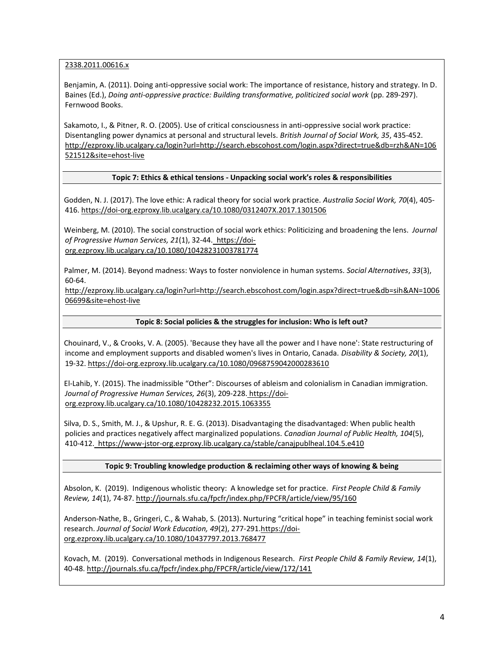[2338.2011.00616.x](https://doi-org.ezproxy.lib.ucalgary.ca/10.1111/j.1468-2338.2011.00616.x)

Benjamin, A. (2011). Doing anti-oppressive social work: The importance of resistance, history and strategy. In D. Baines (Ed.), *Doing anti-oppressive practice: Building transformative, politicized social work* (pp. 289-297). Fernwood Books.

Sakamoto, I., & Pitner, R. O. (2005). Use of critical consciousness in anti-oppressive social work practice: Disentangling power dynamics at personal and structural levels. *British Journal of Social Work, 35*, 435-452. [http://ezproxy.lib.ucalgary.ca/login?url=http://search.ebscohost.com/login.aspx?direct=true&db=rzh&AN=106](http://ezproxy.lib.ucalgary.ca/login?url=http://search.ebscohost.com/login.aspx?direct=true&db=rzh&AN=106521512&site=ehost-live) [521512&site=ehost-live](http://ezproxy.lib.ucalgary.ca/login?url=http://search.ebscohost.com/login.aspx?direct=true&db=rzh&AN=106521512&site=ehost-live)

#### **Topic 7: Ethics & ethical tensions - Unpacking social work's roles & responsibilities**

Godden, N. J. (2017). The love ethic: A radical theory for social work practice. *Australia Social Work, 70*(4), 405- 416.<https://doi-org.ezproxy.lib.ucalgary.ca/10.1080/0312407X.2017.1301506>

Weinberg, M. (2010). The social construction of social work ethics: Politicizing and broadening the lens. *Journal of Progressive Human Services, 21*(1), 32-44. [https://doi](https://doi-org.ezproxy.lib.ucalgary.ca/10.1080/10428231003781774)[org.ezproxy.lib.ucalgary.ca/10.1080/10428231003781774](https://doi-org.ezproxy.lib.ucalgary.ca/10.1080/10428231003781774)

Palmer, M. (2014). Beyond madness: Ways to foster nonviolence in human systems. *Social Alternatives*, *33*(3), 60-64.

[http://ezproxy.lib.ucalgary.ca/login?url=http://search.ebscohost.com/login.aspx?direct=true&db=sih&AN=1006](http://ezproxy.lib.ucalgary.ca/login?url=http://search.ebscohost.com/login.aspx?direct=true&db=sih&AN=100606699&site=ehost-live) [06699&site=ehost-live](http://ezproxy.lib.ucalgary.ca/login?url=http://search.ebscohost.com/login.aspx?direct=true&db=sih&AN=100606699&site=ehost-live)

#### **Topic 8: Social policies & the struggles for inclusion: Who is left out?**

Chouinard, V., & Crooks, V. A. (2005). 'Because they have all the power and I have none': State restructuring of income and employment supports and disabled women's lives in Ontario, Canada. *Disability & Society, 20*(1), 19-32.<https://doi-org.ezproxy.lib.ucalgary.ca/10.1080/0968759042000283610>

El-Lahib, Y. (2015). The inadmissible "Other": Discourses of ableism and colonialism in Canadian immigration. *Journal of Progressive Human Services, 26*(3), 209-228. [https://doi](https://doi-org.ezproxy.lib.ucalgary.ca/10.1080/10428232.2015.1063355)[org.ezproxy.lib.ucalgary.ca/10.1080/10428232.2015.1063355](https://doi-org.ezproxy.lib.ucalgary.ca/10.1080/10428232.2015.1063355)

Silva, D. S., Smith, M. J., & Upshur, R. E. G. (2013). Disadvantaging the disadvantaged: When public health policies and practices negatively affect marginalized populations. *Canadian Journal of Public Health, 104*(5), 410-412.<https://www-jstor-org.ezproxy.lib.ucalgary.ca/stable/canajpublheal.104.5.e410>

#### **Topic 9: Troubling knowledge production & reclaiming other ways of knowing & being**

Absolon, K. (2019). Indigenous wholistic theory: A knowledge set for practice. *First People Child & Family Review, 14*(1), 74-87[. http://journals.sfu.ca/fpcfr/index.php/FPCFR/article/view/95/160](http://journals.sfu.ca/fpcfr/index.php/FPCFR/article/view/95/160)

Anderson-Nathe, B., Gringeri, C., & Wahab, S. (2013). Nurturing "critical hope" in teaching feminist social work research. *Journal of Social Work Education, 49*(2), 277-291[.https://doi](https://doi-org.ezproxy.lib.ucalgary.ca/10.1080/10437797.2013.768477)[org.ezproxy.lib.ucalgary.ca/10.1080/10437797.2013.768477](https://doi-org.ezproxy.lib.ucalgary.ca/10.1080/10437797.2013.768477)

Kovach, M. (2019). Conversational methods in Indigenous Research. *First People Child & Family Review, 14*(1), 40-48.<http://journals.sfu.ca/fpcfr/index.php/FPCFR/article/view/172/141>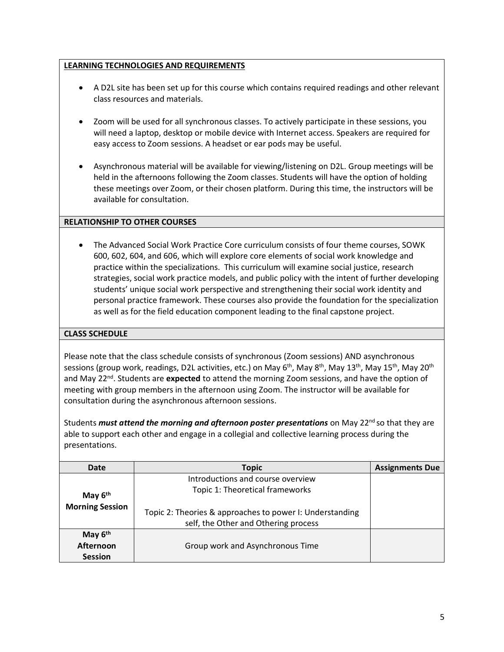## **LEARNING TECHNOLOGIES AND REQUIREMENTS**

- A D2L site has been set up for this course which contains required readings and other relevant class resources and materials.
- Zoom will be used for all synchronous classes. To actively participate in these sessions, you will need a laptop, desktop or mobile device with Internet access. Speakers are required for easy access to Zoom sessions. A headset or ear pods may be useful.
- Asynchronous material will be available for viewing/listening on D2L. Group meetings will be held in the afternoons following the Zoom classes. Students will have the option of holding these meetings over Zoom, or their chosen platform. During this time, the instructors will be available for consultation.

## **RELATIONSHIP TO OTHER COURSES**

• The Advanced Social Work Practice Core curriculum consists of four theme courses, SOWK 600, 602, 604, and 606, which will explore core elements of social work knowledge and practice within the specializations. This curriculum will examine social justice, research strategies, social work practice models, and public policy with the intent of further developing students' unique social work perspective and strengthening their social work identity and personal practice framework. These courses also provide the foundation for the specialization as well as for the field education component leading to the final capstone project.

## **CLASS SCHEDULE**

Please note that the class schedule consists of synchronous (Zoom sessions) AND asynchronous sessions (group work, readings, D2L activities, etc.) on May 6<sup>th</sup>, May 8<sup>th</sup>, May 13<sup>th</sup>, May 15<sup>th</sup>, May 20<sup>th</sup> and May 22<sup>nd</sup>. Students are expected to attend the morning Zoom sessions, and have the option of meeting with group members in the afternoon using Zoom. The instructor will be available for consultation during the asynchronous afternoon sessions.

Students *must attend the morning and afternoon poster presentations* on May 22<sup>nd</sup> so that they are able to support each other and engage in a collegial and collective learning process during the presentations.

| Date                   | <b>Topic</b>                                                                                     | <b>Assignments Due</b> |
|------------------------|--------------------------------------------------------------------------------------------------|------------------------|
|                        | Introductions and course overview                                                                |                        |
| May $6th$              | Topic 1: Theoretical frameworks                                                                  |                        |
| <b>Morning Session</b> | Topic 2: Theories & approaches to power I: Understanding<br>self, the Other and Othering process |                        |
| May $6th$              |                                                                                                  |                        |
| Afternoon              | Group work and Asynchronous Time                                                                 |                        |
| <b>Session</b>         |                                                                                                  |                        |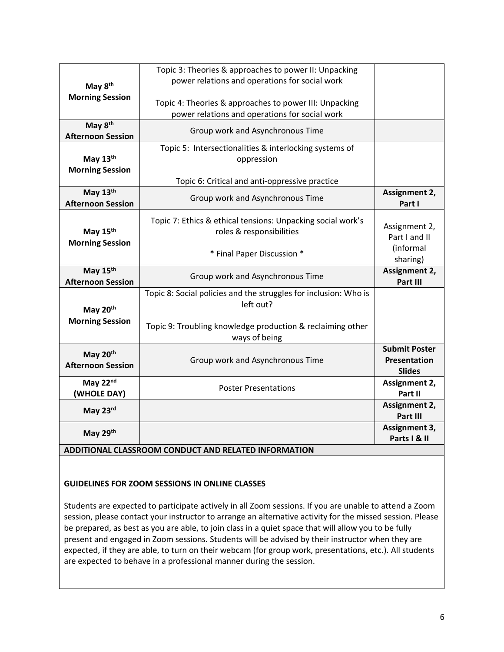|                                      | Topic 3: Theories & approaches to power II: Unpacking                                                    |                         |
|--------------------------------------|----------------------------------------------------------------------------------------------------------|-------------------------|
| May 8 <sup>th</sup>                  | power relations and operations for social work                                                           |                         |
| <b>Morning Session</b>               | Topic 4: Theories & approaches to power III: Unpacking<br>power relations and operations for social work |                         |
| May 8th                              |                                                                                                          |                         |
| <b>Afternoon Session</b>             | Group work and Asynchronous Time                                                                         |                         |
|                                      | Topic 5: Intersectionalities & interlocking systems of                                                   |                         |
| May 13th                             | oppression                                                                                               |                         |
| <b>Morning Session</b>               |                                                                                                          |                         |
|                                      | Topic 6: Critical and anti-oppressive practice                                                           |                         |
| May 13th<br><b>Afternoon Session</b> | Group work and Asynchronous Time                                                                         | Assignment 2,<br>Part I |
|                                      | Topic 7: Ethics & ethical tensions: Unpacking social work's                                              |                         |
| May 15th                             | roles & responsibilities                                                                                 | Assignment 2,           |
|                                      |                                                                                                          | Part I and II           |
| <b>Morning Session</b>               |                                                                                                          | (informal               |
|                                      | * Final Paper Discussion *                                                                               | sharing)                |
| May 15th                             | Group work and Asynchronous Time                                                                         | Assignment 2,           |
| <b>Afternoon Session</b>             |                                                                                                          | Part III                |
|                                      | Topic 8: Social policies and the struggles for inclusion: Who is                                         |                         |
| May 20th                             | left out?                                                                                                |                         |
| <b>Morning Session</b>               |                                                                                                          |                         |
|                                      | Topic 9: Troubling knowledge production & reclaiming other                                               |                         |
|                                      | ways of being                                                                                            |                         |
| May 20th                             |                                                                                                          | <b>Submit Poster</b>    |
| <b>Afternoon Session</b>             | Group work and Asynchronous Time                                                                         | <b>Presentation</b>     |
|                                      |                                                                                                          | <b>Slides</b>           |
| May 22nd                             | <b>Poster Presentations</b>                                                                              | Assignment 2,           |
| (WHOLE DAY)                          |                                                                                                          | Part II                 |
| May 23rd                             |                                                                                                          | Assignment 2,           |
|                                      |                                                                                                          | Part III                |
| May 29th                             |                                                                                                          | Assignment 3,           |
|                                      |                                                                                                          | Parts I & II            |

# **ADDITIONAL CLASSROOM CONDUCT AND RELATED INFORMATION**

### **GUIDELINES FOR ZOOM SESSIONS IN ONLINE CLASSES**

Students are expected to participate actively in all Zoom sessions. If you are unable to attend a Zoom session, please contact your instructor to arrange an alternative activity for the missed session. Please be prepared, as best as you are able, to join class in a quiet space that will allow you to be fully present and engaged in Zoom sessions. Students will be advised by their instructor when they are expected, if they are able, to turn on their webcam (for group work, presentations, etc.). All students are expected to behave in a professional manner during the session.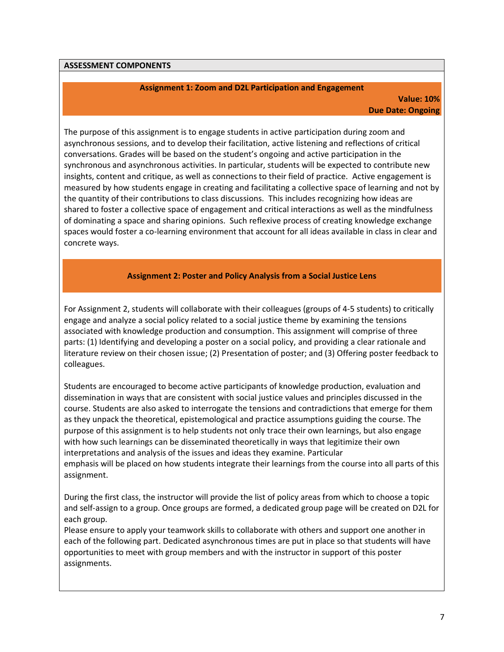#### **ASSESSMENT COMPONENTS**

#### **Assignment 1: Zoom and D2L Participation and Engagement**

### **Value: 10% Due Date: Ongoing**

The purpose of this assignment is to engage students in active participation during zoom and asynchronous sessions, and to develop their facilitation, active listening and reflections of critical conversations. Grades will be based on the student's ongoing and active participation in the synchronous and asynchronous activities. In particular, students will be expected to contribute new insights, content and critique, as well as connections to their field of practice. Active engagement is measured by how students engage in creating and facilitating a collective space of learning and not by the quantity of their contributions to class discussions. This includes recognizing how ideas are shared to foster a collective space of engagement and critical interactions as well as the mindfulness of dominating a space and sharing opinions. Such reflexive process of creating knowledge exchange spaces would foster a co-learning environment that account for all ideas available in class in clear and concrete ways.

#### **Assignment 2: Poster and Policy Analysis from a Social Justice Lens**

For Assignment 2, students will collaborate with their colleagues (groups of 4-5 students) to critically engage and analyze a social policy related to a social justice theme by examining the tensions associated with knowledge production and consumption. This assignment will comprise of three parts: (1) Identifying and developing a poster on a social policy, and providing a clear rationale and literature review on their chosen issue; (2) Presentation of poster; and (3) Offering poster feedback to colleagues.

Students are encouraged to become active participants of knowledge production, evaluation and dissemination in ways that are consistent with social justice values and principles discussed in the course. Students are also asked to interrogate the tensions and contradictions that emerge for them as they unpack the theoretical, epistemological and practice assumptions guiding the course. The purpose of this assignment is to help students not only trace their own learnings, but also engage with how such learnings can be disseminated theoretically in ways that legitimize their own interpretations and analysis of the issues and ideas they examine. Particular emphasis will be placed on how students integrate their learnings from the course into all parts of this assignment.

During the first class, the instructor will provide the list of policy areas from which to choose a topic and self-assign to a group. Once groups are formed, a dedicated group page will be created on D2L for each group.

Please ensure to apply your teamwork skills to collaborate with others and support one another in each of the following part. Dedicated asynchronous times are put in place so that students will have opportunities to meet with group members and with the instructor in support of this poster assignments.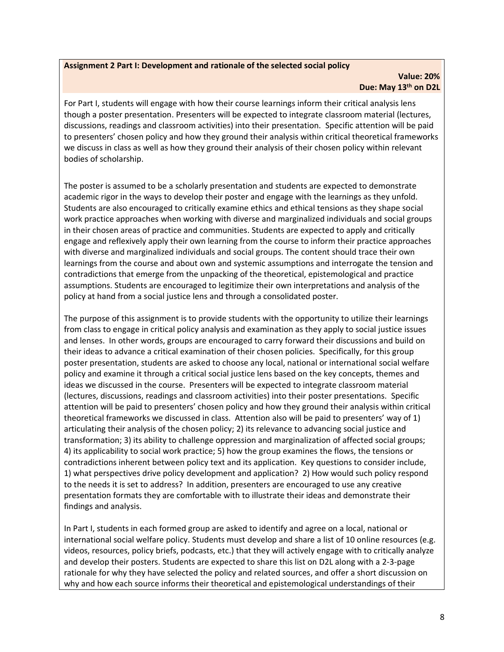### **Assignment 2 Part I: Development and rationale of the selected social policy**

### **Value: 20% Due: May 13th on D2L**

For Part I, students will engage with how their course learnings inform their critical analysis lens though a poster presentation. Presenters will be expected to integrate classroom material (lectures, discussions, readings and classroom activities) into their presentation. Specific attention will be paid to presenters' chosen policy and how they ground their analysis within critical theoretical frameworks we discuss in class as well as how they ground their analysis of their chosen policy within relevant bodies of scholarship.

The poster is assumed to be a scholarly presentation and students are expected to demonstrate academic rigor in the ways to develop their poster and engage with the learnings as they unfold. Students are also encouraged to critically examine ethics and ethical tensions as they shape social work practice approaches when working with diverse and marginalized individuals and social groups in their chosen areas of practice and communities. Students are expected to apply and critically engage and reflexively apply their own learning from the course to inform their practice approaches with diverse and marginalized individuals and social groups. The content should trace their own learnings from the course and about own and systemic assumptions and interrogate the tension and contradictions that emerge from the unpacking of the theoretical, epistemological and practice assumptions. Students are encouraged to legitimize their own interpretations and analysis of the policy at hand from a social justice lens and through a consolidated poster.

The purpose of this assignment is to provide students with the opportunity to utilize their learnings from class to engage in critical policy analysis and examination as they apply to social justice issues and lenses. In other words, groups are encouraged to carry forward their discussions and build on their ideas to advance a critical examination of their chosen policies. Specifically, for this group poster presentation, students are asked to choose any local, national or international social welfare policy and examine it through a critical social justice lens based on the key concepts, themes and ideas we discussed in the course. Presenters will be expected to integrate classroom material (lectures, discussions, readings and classroom activities) into their poster presentations. Specific attention will be paid to presenters' chosen policy and how they ground their analysis within critical theoretical frameworks we discussed in class. Attention also will be paid to presenters' way of 1) articulating their analysis of the chosen policy; 2) its relevance to advancing social justice and transformation; 3) its ability to challenge oppression and marginalization of affected social groups; 4) its applicability to social work practice; 5) how the group examines the flows, the tensions or contradictions inherent between policy text and its application. Key questions to consider include, 1) what perspectives drive policy development and application? 2) How would such policy respond to the needs it is set to address? In addition, presenters are encouraged to use any creative presentation formats they are comfortable with to illustrate their ideas and demonstrate their findings and analysis.

In Part I, students in each formed group are asked to identify and agree on a local, national or international social welfare policy. Students must develop and share a list of 10 online resources (e.g. videos, resources, policy briefs, podcasts, etc.) that they will actively engage with to critically analyze and develop their posters. Students are expected to share this list on D2L along with a 2-3-page rationale for why they have selected the policy and related sources, and offer a short discussion on why and how each source informs their theoretical and epistemological understandings of their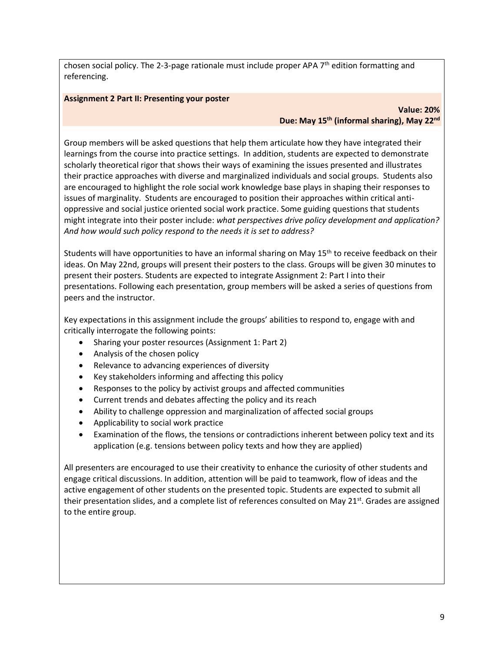chosen social policy. The 2-3-page rationale must include proper APA  $7<sup>th</sup>$  edition formatting and referencing.

## **Assignment 2 Part II: Presenting your poster**

## **Value: 20% Due: May 15th (informal sharing), May 22nd**

Group members will be asked questions that help them articulate how they have integrated their learnings from the course into practice settings. In addition, students are expected to demonstrate scholarly theoretical rigor that shows their ways of examining the issues presented and illustrates their practice approaches with diverse and marginalized individuals and social groups. Students also are encouraged to highlight the role social work knowledge base plays in shaping their responses to issues of marginality. Students are encouraged to position their approaches within critical antioppressive and social justice oriented social work practice. Some guiding questions that students might integrate into their poster include: *what perspectives drive policy development and application? And how would such policy respond to the needs it is set to address?*

Students will have opportunities to have an informal sharing on May 15<sup>th</sup> to receive feedback on their ideas. On May 22nd, groups will present their posters to the class. Groups will be given 30 minutes to present their posters. Students are expected to integrate Assignment 2: Part I into their presentations. Following each presentation, group members will be asked a series of questions from peers and the instructor.

Key expectations in this assignment include the groups' abilities to respond to, engage with and critically interrogate the following points:

- Sharing your poster resources (Assignment 1: Part 2)
- Analysis of the chosen policy
- Relevance to advancing experiences of diversity
- Key stakeholders informing and affecting this policy
- Responses to the policy by activist groups and affected communities
- Current trends and debates affecting the policy and its reach
- Ability to challenge oppression and marginalization of affected social groups
- Applicability to social work practice
- Examination of the flows, the tensions or contradictions inherent between policy text and its application (e.g. tensions between policy texts and how they are applied)

All presenters are encouraged to use their creativity to enhance the curiosity of other students and engage critical discussions. In addition, attention will be paid to teamwork, flow of ideas and the active engagement of other students on the presented topic. Students are expected to submit all their presentation slides, and a complete list of references consulted on May 21<sup>st</sup>. Grades are assigned to the entire group.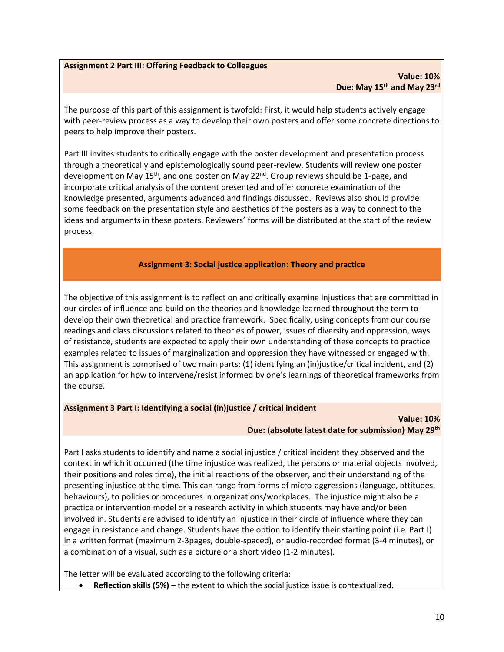### **Assignment 2 Part III: Offering Feedback to Colleagues**

#### **Value: 10% Due: May 15th and May 23rd**

The purpose of this part of this assignment is twofold: First, it would help students actively engage with peer-review process as a way to develop their own posters and offer some concrete directions to peers to help improve their posters.

Part III invites students to critically engage with the poster development and presentation process through a theoretically and epistemologically sound peer-review. Students will review one poster development on May 15<sup>th</sup>, and one poster on May 22<sup>nd</sup>. Group reviews should be 1-page, and incorporate critical analysis of the content presented and offer concrete examination of the knowledge presented, arguments advanced and findings discussed. Reviews also should provide some feedback on the presentation style and aesthetics of the posters as a way to connect to the ideas and arguments in these posters. Reviewers' forms will be distributed at the start of the review process.

#### **Assignment 3: Social justice application: Theory and practice**

The objective of this assignment is to reflect on and critically examine injustices that are committed in our circles of influence and build on the theories and knowledge learned throughout the term to develop their own theoretical and practice framework. Specifically, using concepts from our course readings and class discussions related to theories of power, issues of diversity and oppression, ways of resistance, students are expected to apply their own understanding of these concepts to practice examples related to issues of marginalization and oppression they have witnessed or engaged with. This assignment is comprised of two main parts: (1) identifying an (in)justice/critical incident, and (2) an application for how to intervene/resist informed by one's learnings of theoretical frameworks from the course.

#### **Assignment 3 Part I: Identifying a social (in)justice / critical incident**

#### **Value: 10% Due: (absolute latest date for submission) May 29th**

Part I asks students to identify and name a social injustice / critical incident they observed and the context in which it occurred (the time injustice was realized, the persons or material objects involved, their positions and roles time), the initial reactions of the observer, and their understanding of the presenting injustice at the time. This can range from forms of micro-aggressions (language, attitudes, behaviours), to policies or procedures in organizations/workplaces. The injustice might also be a practice or intervention model or a research activity in which students may have and/or been involved in. Students are advised to identify an injustice in their circle of influence where they can engage in resistance and change. Students have the option to identify their starting point (i.e. Part I) in a written format (maximum 2-3pages, double-spaced), or audio-recorded format (3-4 minutes), or a combination of a visual, such as a picture or a short video (1-2 minutes).

The letter will be evaluated according to the following criteria:

• **Reflection skills (5%)** – the extent to which the social justice issue is contextualized.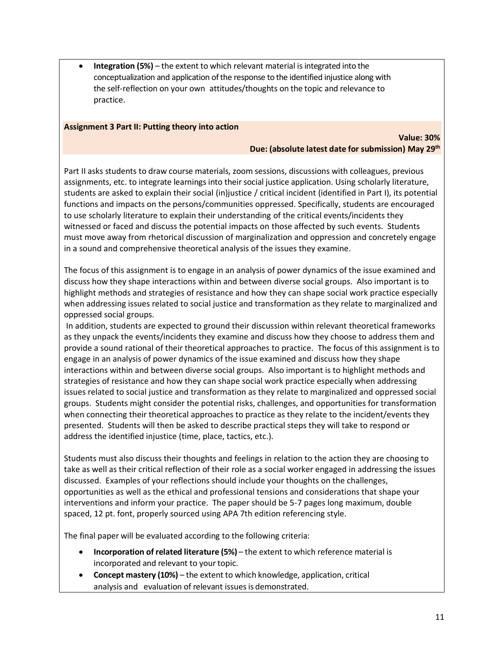**Integration (5%)** – the extent to which relevant material is integrated into the conceptualization and application of the response to the identified injustice along with the self-reflection on your own attitudes/thoughts on the topic and relevance to practice.

### **Assignment 3 Part II: Putting theory into action**

### **Value: 30% Due: (absolute latest date for submission) May 29th**

Part II asks students to draw course materials, zoom sessions, discussions with colleagues, previous assignments, etc. to integrate learnings into their social justice application. Using scholarly literature, students are asked to explain their social (in)justice / critical incident (identified in Part I), its potential functions and impacts on the persons/communities oppressed. Specifically, students are encouraged to use scholarly literature to explain their understanding of the critical events/incidents they witnessed or faced and discuss the potential impacts on those affected by such events. Students must move away from rhetorical discussion of marginalization and oppression and concretely engage in a sound and comprehensive theoretical analysis of the issues they examine.

The focus of this assignment is to engage in an analysis of power dynamics of the issue examined and discuss how they shape interactions within and between diverse social groups. Also important is to highlight methods and strategies of resistance and how they can shape social work practice especially when addressing issues related to social justice and transformation as they relate to marginalized and oppressed social groups.

In addition, students are expected to ground their discussion within relevant theoretical frameworks as they unpack the events/incidents they examine and discuss how they choose to address them and provide a sound rational of their theoretical approaches to practice. The focus of this assignment is to engage in an analysis of power dynamics of the issue examined and discuss how they shape interactions within and between diverse social groups. Also important is to highlight methods and strategies of resistance and how they can shape social work practice especially when addressing issues related to social justice and transformation as they relate to marginalized and oppressed social groups. Students might consider the potential risks, challenges, and opportunities for transformation when connecting their theoretical approaches to practice as they relate to the incident/events they presented. Students will then be asked to describe practical steps they will take to respond or address the identified injustice (time, place, tactics, etc.).

Students must also discuss their thoughts and feelings in relation to the action they are choosing to take as well as their critical reflection of their role as a social worker engaged in addressing the issues discussed. Examples of your reflections should include your thoughts on the challenges, opportunities as well as the ethical and professional tensions and considerations that shape your interventions and inform your practice. The paper should be 5-7 pages long maximum, double spaced, 12 pt. font, properly sourced using APA 7th edition referencing style.

The final paper will be evaluated according to the following criteria:

- **Incorporation of related literature (5%)** the extent to which reference material is incorporated and relevant to your topic.
- **Concept mastery (10%)** the extent to which knowledge, application, critical analysis and evaluation of relevant issues is demonstrated.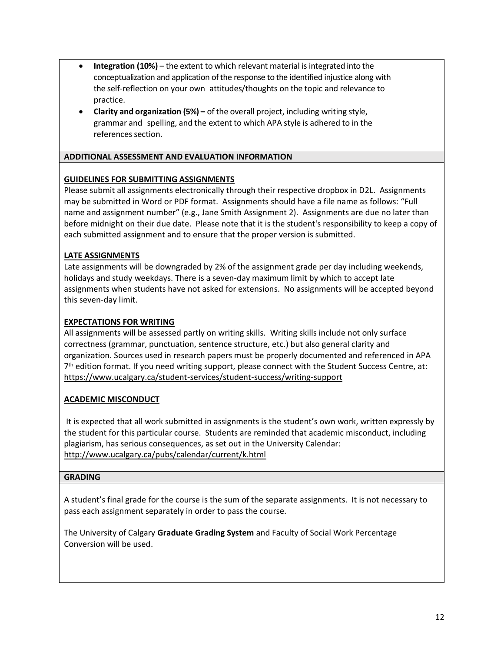- **Integration (10%)** the extent to which relevant material is integrated into the conceptualization and application of the response to the identified injustice along with the self-reflection on your own attitudes/thoughts on the topic and relevance to practice.
- **Clarity and organization (5%) –** of the overall project, including writing style, grammar and spelling, and the extent to which APA style is adhered to in the references section.

## **ADDITIONAL ASSESSMENT AND EVALUATION INFORMATION**

## **GUIDELINES FOR SUBMITTING ASSIGNMENTS**

Please submit all assignments electronically through their respective dropbox in D2L. Assignments may be submitted in Word or PDF format. Assignments should have a file name as follows: "Full name and assignment number" (e.g., Jane Smith Assignment 2). Assignments are due no later than before midnight on their due date. Please note that it is the student's responsibility to keep a copy of each submitted assignment and to ensure that the proper version is submitted.

## **LATE ASSIGNMENTS**

Late assignments will be downgraded by 2% of the assignment grade per day including weekends, holidays and study weekdays. There is a seven-day maximum limit by which to accept late assignments when students have not asked for extensions. No assignments will be accepted beyond this seven-day limit.

## **EXPECTATIONS FOR WRITING**

All assignments will be assessed partly on writing skills. Writing skills include not only surface correctness (grammar, punctuation, sentence structure, etc.) but also general clarity and organization. Sources used in research papers must be properly documented and referenced in APA 7 th edition format. If you need writing support, please connect with the Student Success Centre, at: <https://www.ucalgary.ca/student-services/student-success/writing-support>

### **ACADEMIC MISCONDUCT**

It is expected that all work submitted in assignments is the student's own work, written expressly by the student for this particular course. Students are reminded that academic misconduct, including plagiarism, has serious consequences, as set out in the University Calendar: <http://www.ucalgary.ca/pubs/calendar/current/k.html>

### **GRADING**

A student's final grade for the course is the sum of the separate assignments. It is not necessary to pass each assignment separately in order to pass the course.

The University of Calgary **Graduate Grading System** and Faculty of Social Work Percentage Conversion will be used.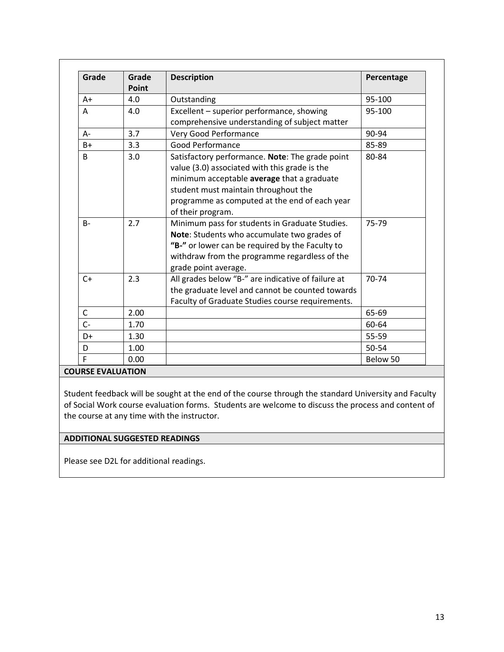| Grade | Grade<br>Point | <b>Description</b>                                                                                                                                                                                                                                           | Percentage |
|-------|----------------|--------------------------------------------------------------------------------------------------------------------------------------------------------------------------------------------------------------------------------------------------------------|------------|
| $A+$  | 4.0            | Outstanding                                                                                                                                                                                                                                                  | 95-100     |
| A     | 4.0            | Excellent - superior performance, showing<br>comprehensive understanding of subject matter                                                                                                                                                                   | 95-100     |
| $A -$ | 3.7            | Very Good Performance                                                                                                                                                                                                                                        | 90-94      |
| $B+$  | 3.3            | Good Performance                                                                                                                                                                                                                                             | 85-89      |
| B     | 3.0            | Satisfactory performance. Note: The grade point<br>value (3.0) associated with this grade is the<br>minimum acceptable average that a graduate<br>student must maintain throughout the<br>programme as computed at the end of each year<br>of their program. | 80-84      |
| $B -$ | 2.7            | Minimum pass for students in Graduate Studies.<br>Note: Students who accumulate two grades of<br>"B-" or lower can be required by the Faculty to<br>withdraw from the programme regardless of the<br>grade point average.                                    | 75-79      |
| $C+$  | 2.3            | All grades below "B-" are indicative of failure at<br>the graduate level and cannot be counted towards<br>Faculty of Graduate Studies course requirements.                                                                                                   | 70-74      |
| C     | 2.00           |                                                                                                                                                                                                                                                              | 65-69      |
| $C -$ | 1.70           |                                                                                                                                                                                                                                                              | 60-64      |
| $D+$  | 1.30           |                                                                                                                                                                                                                                                              | 55-59      |
| D     | 1.00           |                                                                                                                                                                                                                                                              | 50-54      |
| F     | 0.00           |                                                                                                                                                                                                                                                              | Below 50   |

**COURSE EVALUATION**

Student feedback will be sought at the end of the course through the standard University and Faculty of Social Work course evaluation forms. Students are welcome to discuss the process and content of the course at any time with the instructor.

### **ADDITIONAL SUGGESTED READINGS**

Please see D2L for additional readings.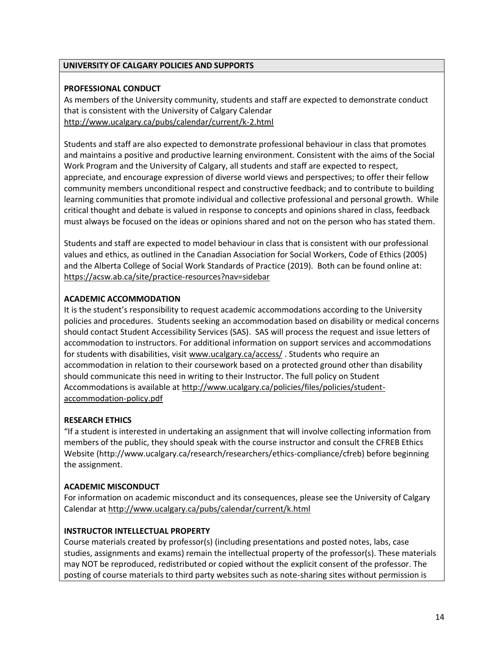## **UNIVERSITY OF CALGARY POLICIES AND SUPPORTS**

## **PROFESSIONAL CONDUCT**

As members of the University community, students and staff are expected to demonstrate conduct that is consistent with the University of Calgary Calendar <http://www.ucalgary.ca/pubs/calendar/current/k-2.html>

Students and staff are also expected to demonstrate professional behaviour in class that promotes and maintains a positive and productive learning environment. Consistent with the aims of the Social Work Program and the University of Calgary, all students and staff are expected to respect, appreciate, and encourage expression of diverse world views and perspectives; to offer their fellow community members unconditional respect and constructive feedback; and to contribute to building learning communities that promote individual and collective professional and personal growth. While critical thought and debate is valued in response to concepts and opinions shared in class, feedback must always be focused on the ideas or opinions shared and not on the person who has stated them.

Students and staff are expected to model behaviour in class that is consistent with our professional values and ethics, as outlined in the Canadian Association for Social Workers, Code of Ethics (2005) and the Alberta College of Social Work Standards of Practice (2019). Both can be found online at: <https://acsw.ab.ca/site/practice-resources?nav=sidebar>

## **ACADEMIC ACCOMMODATION**

It is the student's responsibility to request academic accommodations according to the University policies and procedures. Students seeking an accommodation based on disability or medical concerns should contact Student Accessibility Services (SAS). SAS will process the request and issue letters of accommodation to instructors. For additional information on support services and accommodations for students with disabilities, visit [www.ucalgary.ca/access/](http://www.ucalgary.ca/access/) . Students who require an accommodation in relation to their coursework based on a protected ground other than disability should communicate this need in writing to their Instructor. The full policy on Student Accommodations is available at [http://www.ucalgary.ca/policies/files/policies/student](http://www.ucalgary.ca/policies/files/policies/student-accommodation-policy.pdf)[accommodation-policy.pdf](http://www.ucalgary.ca/policies/files/policies/student-accommodation-policy.pdf)

## **RESEARCH ETHICS**

"If a student is interested in undertaking an assignment that will involve collecting information from members of the public, they should speak with the course instructor and consult the CFREB Ethics Website [\(http://www.ucalgary.ca/research/researchers/ethics-compliance/cfreb\)](http://www.ucalgary.ca/research/researchers/ethics-compliance/cfreb) before beginning the assignment.

## **ACADEMIC MISCONDUCT**

For information on academic misconduct and its consequences, please see the University of Calgary Calendar at<http://www.ucalgary.ca/pubs/calendar/current/k.html>

### **INSTRUCTOR INTELLECTUAL PROPERTY**

Course materials created by professor(s) (including presentations and posted notes, labs, case studies, assignments and exams) remain the intellectual property of the professor(s). These materials may NOT be reproduced, redistributed or copied without the explicit consent of the professor. The posting of course materials to third party websites such as note-sharing sites without permission is